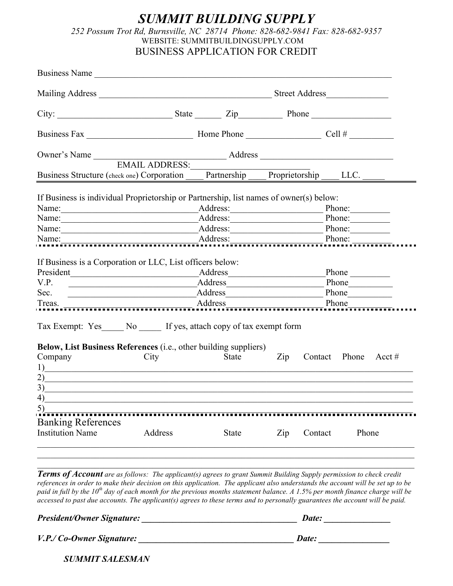## *SUMMIT BUILDING SUPPLY 252 Possum Trot Rd, Burnsville, NC 28714 Phone: 828-682-9841 Fax: 828-682-9357* WEBSITE: SUMMITBUILDINGSUPPLY.COM BUSINESS APPLICATION FOR CREDIT

| Business Structure (check one) Corporation Partnership Proprietorship LLC.                                                                                                                                       |                                                                                                                                                                                                                                                                             |              |                                  |                      |  |  |
|------------------------------------------------------------------------------------------------------------------------------------------------------------------------------------------------------------------|-----------------------------------------------------------------------------------------------------------------------------------------------------------------------------------------------------------------------------------------------------------------------------|--------------|----------------------------------|----------------------|--|--|
|                                                                                                                                                                                                                  |                                                                                                                                                                                                                                                                             |              |                                  |                      |  |  |
| If Business is individual Proprietorship or Partnership, list names of owner(s) below:                                                                                                                           |                                                                                                                                                                                                                                                                             |              |                                  |                      |  |  |
|                                                                                                                                                                                                                  |                                                                                                                                                                                                                                                                             |              | Phone:<br>Phone:                 |                      |  |  |
|                                                                                                                                                                                                                  |                                                                                                                                                                                                                                                                             |              | Name: Phone: Phone: Phone:       |                      |  |  |
| Name: $\frac{ }{ }$                                                                                                                                                                                              |                                                                                                                                                                                                                                                                             | Address:     |                                  | Phone:               |  |  |
| V.P.<br>Sec.                                                                                                                                                                                                     | Address Address<br>Address Address Andreas Address Address Address Address Address Address Address Address Address Address Address Address Address Address Address Address Address Address Address Address Address Address Address Address Addres<br>Treas. Address Address |              | Phone                            |                      |  |  |
| Tax Exempt: Yes ______ No ______ If yes, attach copy of tax exempt form                                                                                                                                          |                                                                                                                                                                                                                                                                             |              |                                  |                      |  |  |
| Below, List Business References (i.e., other building suppliers)<br>Company<br>1)<br>2)<br><u> 1989 - John Stoff, deutscher Stoff, der Stoff, der Stoff, der Stoff, der Stoff, der Stoff, der Stoff, der Sto</u> | City                                                                                                                                                                                                                                                                        | <b>State</b> | $\mathop{\mathrm{Zip}}\nolimits$ | Contact Phone Acct # |  |  |
| 3)<br><u> 1980 - Jan Alexandria, politikar politikar (h. 1980)</u>                                                                                                                                               |                                                                                                                                                                                                                                                                             |              |                                  |                      |  |  |
| 4)                                                                                                                                                                                                               |                                                                                                                                                                                                                                                                             |              |                                  |                      |  |  |
|                                                                                                                                                                                                                  |                                                                                                                                                                                                                                                                             |              |                                  |                      |  |  |
|                                                                                                                                                                                                                  |                                                                                                                                                                                                                                                                             |              |                                  |                      |  |  |
| <b>Banking References</b><br><b>Institution Name</b>                                                                                                                                                             | Address                                                                                                                                                                                                                                                                     | <b>State</b> | Zip<br>Contact                   | Phone                |  |  |

**Terms of Account** are as follows: The applicant(s) agrees to grant Summit Building Supply permission to check credit references in order to make their decision on this application. The applicant also understands the account will be set up to be paid in full by the 10<sup>th</sup> day of each month for the previous months statement balance. A 1.5% per month finance charge will be accessed to past due accounts. The applicant(s) agrees to these terms and to personally guarantees the account will be paid.

*President/Owner Signature: \_\_\_\_\_\_\_\_\_\_\_\_\_\_\_\_\_\_\_\_\_\_\_\_\_\_\_\_\_\_\_\_\_\_\_ Date: \_\_\_\_\_\_\_\_\_\_\_\_\_\_\_ V.P./ Co-Owner Signature: \_\_\_\_\_\_\_\_\_\_\_\_\_\_\_\_\_\_\_\_\_\_\_\_\_\_\_\_\_\_\_\_\_\_\_ Date: \_\_\_\_\_\_\_\_\_\_\_\_\_\_\_\_*

*SUMMIT SALESMAN\_\_\_\_\_\_\_\_\_\_\_\_\_\_\_\_\_\_\_\_\_\_\_\_*